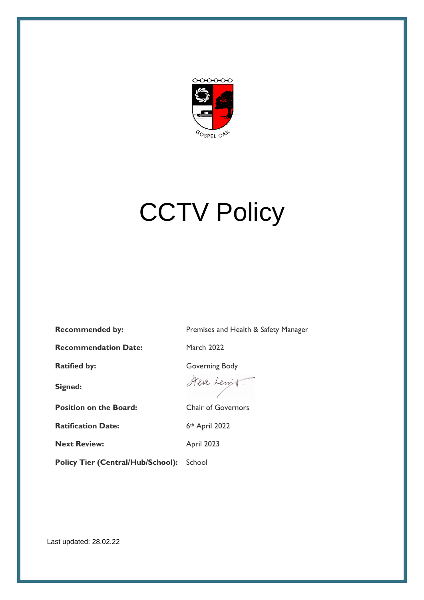

# **CCTV Policy**

**Recommended by:** Premises and Health & Safety Manager

**Recommendation Date:** March 2022

**Signed:**

**Position on the Board:** Chair of Governors

**Ratification Date:** 6th April 2022

**Next Review:** April 2023

Policy Tier (Central/Hub/School): School

Ratified by: Governing Body

Steve Lewit.

Last updated: 28.02.22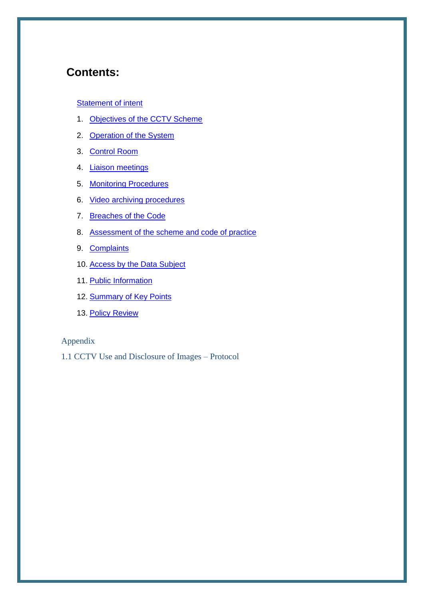## **Contents:**

#### **[Statement of intent](#page-2-0)**

- 1. [Objectives of the CCTV Scheme](#page-4-0)
- 2. Operation of the System
- 3. Control Room
- 4. [Liaison meetings](#page-5-0)
- 5. [Monitoring Procedures](#page-5-1)
- 6. Video [archiving procedures](#page-5-2)
- 7. [Breaches of the Code](#page-6-0)
- 8. [Assessment of the scheme and code of practice](#page-6-1)
- 9. Complaints
- 10. Access by the Data Subject
- 11. Public Information
- 12. [Summary of Key Points](#page-7-1)
- 13. Policy Review

#### Appendix

1.1 CCTV Use and Disclosure of Images – Protocol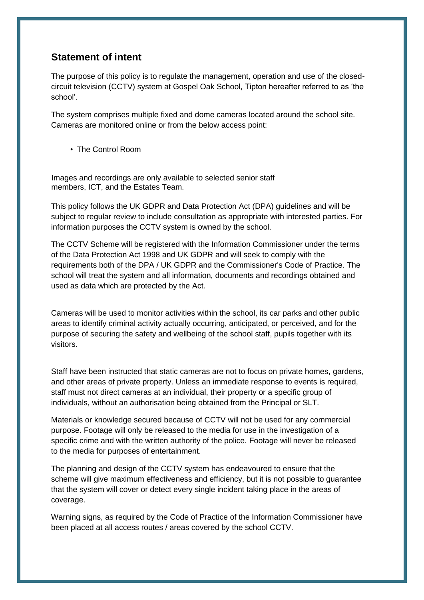## <span id="page-2-0"></span>**Statement of intent**

The purpose of this policy is to regulate the management, operation and use of the closedcircuit television (CCTV) system at Gospel Oak School, Tipton hereafter referred to as 'the school'.

The system comprises multiple fixed and dome cameras located around the school site. Cameras are monitored online or from the below access point:

• The Control Room

Images and recordings are only available to selected senior staff members, ICT, and the Estates Team.

This policy follows the UK GDPR and Data Protection Act (DPA) guidelines and will be subject to regular review to include consultation as appropriate with interested parties. For information purposes the CCTV system is owned by the school.

The CCTV Scheme will be registered with the Information Commissioner under the terms of the Data Protection Act 1998 and UK GDPR and will seek to comply with the requirements both of the DPA / UK GDPR and the Commissioner's Code of Practice. The school will treat the system and all information, documents and recordings obtained and used as data which are protected by the Act.

Cameras will be used to monitor activities within the school, its car parks and other public areas to identify criminal activity actually occurring, anticipated, or perceived, and for the purpose of securing the safety and wellbeing of the school staff, pupils together with its visitors.

Staff have been instructed that static cameras are not to focus on private homes, gardens, and other areas of private property. Unless an immediate response to events is required, staff must not direct cameras at an individual, their property or a specific group of individuals, without an authorisation being obtained from the Principal or SLT.

Materials or knowledge secured because of CCTV will not be used for any commercial purpose. Footage will only be released to the media for use in the investigation of a specific crime and with the written authority of the police. Footage will never be released to the media for purposes of entertainment.

The planning and design of the CCTV system has endeavoured to ensure that the scheme will give maximum effectiveness and efficiency, but it is not possible to guarantee that the system will cover or detect every single incident taking place in the areas of coverage.

Warning signs, as required by the Code of Practice of the Information Commissioner have been placed at all access routes / areas covered by the school CCTV.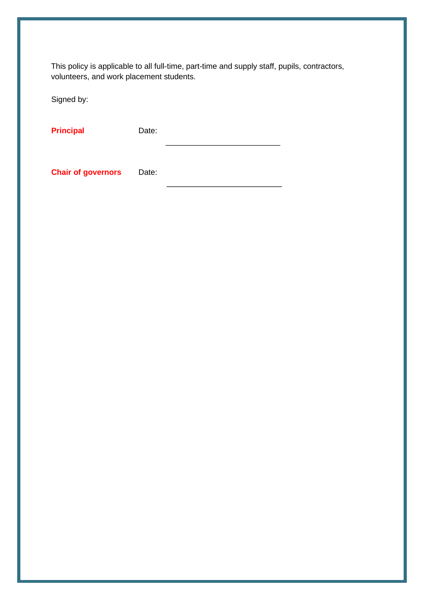This policy is applicable to all full-time, part-time and supply staff, pupils, contractors, volunteers, and work placement students.

Signed by:

Principal **Date:** 

**Chair of governors** Date: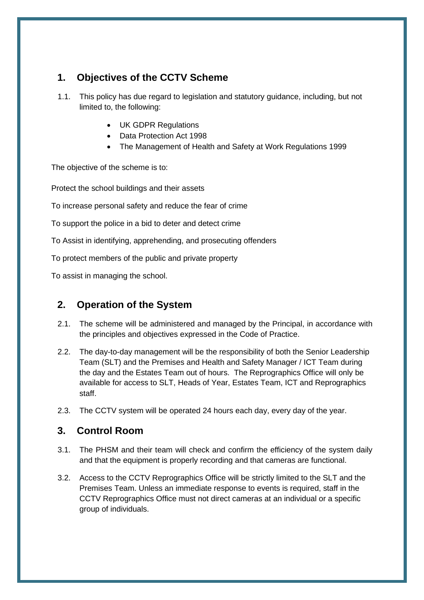## <span id="page-4-0"></span>**1. Objectives of the CCTV Scheme**

- 1.1. This policy has due regard to legislation and statutory guidance, including, but not limited to, the following:
	- UK GDPR Regulations
	- Data Protection Act 1998
	- The Management of Health and Safety at Work Regulations 1999

The objective of the scheme is to:

Protect the school buildings and their assets

To increase personal safety and reduce the fear of crime

To support the police in a bid to deter and detect crime

To Assist in identifying, apprehending, and prosecuting offenders

To protect members of the public and private property

To assist in managing the school.

## **2. Operation of the System**

- 2.1. The scheme will be administered and managed by the Principal, in accordance with the principles and objectives expressed in the Code of Practice.
- 2.2. The day-to-day management will be the responsibility of both the Senior Leadership Team (SLT) and the Premises and Health and Safety Manager / ICT Team during the day and the Estates Team out of hours. The Reprographics Office will only be available for access to SLT, Heads of Year, Estates Team, ICT and Reprographics staff.
- 2.3. The CCTV system will be operated 24 hours each day, every day of the year.

## **3. Control Room**

- 3.1. The PHSM and their team will check and confirm the efficiency of the system daily and that the equipment is properly recording and that cameras are functional.
- 3.2. Access to the CCTV Reprographics Office will be strictly limited to the SLT and the Premises Team. Unless an immediate response to events is required, staff in the CCTV Reprographics Office must not direct cameras at an individual or a specific group of individuals.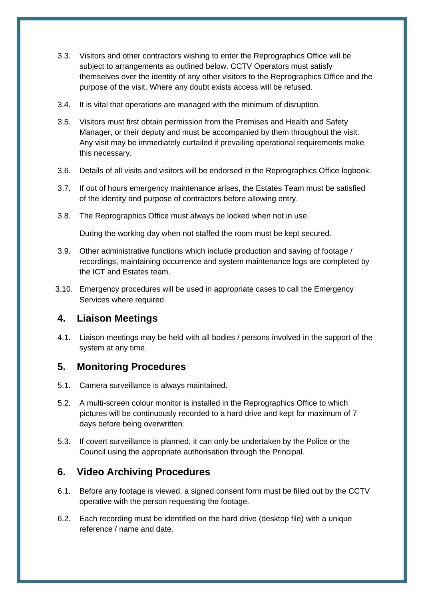- 3.3. Visitors and other contractors wishing to enter the Reprographics Office will be subject to arrangements as outlined below. CCTV Operators must satisfy themselves over the identity of any other visitors to the Reprographics Office and the purpose of the visit. Where any doubt exists access will be refused.
- 3.4. It is vital that operations are managed with the minimum of disruption.
- 3.5. Visitors must first obtain permission from the Premises and Health and Safety Manager, or their deputy and must be accompanied by them throughout the visit. Any visit may be immediately curtailed if prevailing operational requirements make this necessary.
- 3.6. Details of all visits and visitors will be endorsed in the Reprographics Office logbook.
- 3.7. If out of hours emergency maintenance arises, the Estates Team must be satisfied of the identity and purpose of contractors before allowing entry.
- 3.8. The Reprographics Office must always be locked when not in use.

During the working day when not staffed the room must be kept secured.

- 3.9. Other administrative functions which include production and saving of footage / recordings, maintaining occurrence and system maintenance logs are completed by the ICT and Estates team.
- 3.10. Emergency procedures will be used in appropriate cases to call the Emergency Services where required.

## <span id="page-5-0"></span>**4. Liaison Meetings**

4.1. Liaison meetings may be held with all bodies / persons involved in the support of the system at any time.

## <span id="page-5-1"></span>**5. Monitoring Procedures**

- 5.1. Camera surveillance is always maintained.
- 5.2. A multi-screen colour monitor is installed in the Reprographics Office to which pictures will be continuously recorded to a hard drive and kept for maximum of 7 days before being overwritten.
- 5.3. If covert surveillance is planned, it can only be undertaken by the Police or the Council using the appropriate authorisation through the Principal.

## <span id="page-5-2"></span>**6. Video Archiving Procedures**

- 6.1. Before any footage is viewed, a signed consent form must be filled out by the CCTV operative with the person requesting the footage.
- 6.2. Each recording must be identified on the hard drive (desktop file) with a unique reference / name and date.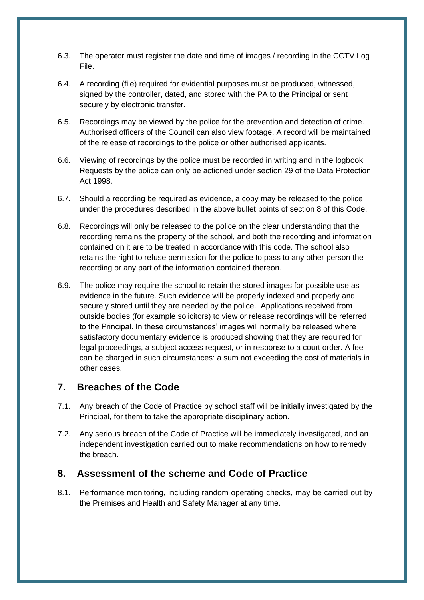- 6.3. The operator must register the date and time of images / recording in the CCTV Log File.
- 6.4. A recording (file) required for evidential purposes must be produced, witnessed, signed by the controller, dated, and stored with the PA to the Principal or sent securely by electronic transfer.
- 6.5. Recordings may be viewed by the police for the prevention and detection of crime. Authorised officers of the Council can also view footage. A record will be maintained of the release of recordings to the police or other authorised applicants.
- 6.6. Viewing of recordings by the police must be recorded in writing and in the logbook. Requests by the police can only be actioned under section 29 of the Data Protection Act 1998.
- 6.7. Should a recording be required as evidence, a copy may be released to the police under the procedures described in the above bullet points of section 8 of this Code.
- 6.8. Recordings will only be released to the police on the clear understanding that the recording remains the property of the school, and both the recording and information contained on it are to be treated in accordance with this code. The school also retains the right to refuse permission for the police to pass to any other person the recording or any part of the information contained thereon.
- 6.9. The police may require the school to retain the stored images for possible use as evidence in the future. Such evidence will be properly indexed and properly and securely stored until they are needed by the police. Applications received from outside bodies (for example solicitors) to view or release recordings will be referred to the Principal. In these circumstances' images will normally be released where satisfactory documentary evidence is produced showing that they are required for legal proceedings, a subject access request, or in response to a court order. A fee can be charged in such circumstances: a sum not exceeding the cost of materials in other cases.

#### <span id="page-6-0"></span>**7. Breaches of the Code**

- 7.1. Any breach of the Code of Practice by school staff will be initially investigated by the Principal, for them to take the appropriate disciplinary action.
- 7.2. Any serious breach of the Code of Practice will be immediately investigated, and an independent investigation carried out to make recommendations on how to remedy the breach.

#### <span id="page-6-1"></span>**8. Assessment of the scheme and Code of Practice**

8.1. Performance monitoring, including random operating checks, may be carried out by the Premises and Health and Safety Manager at any time.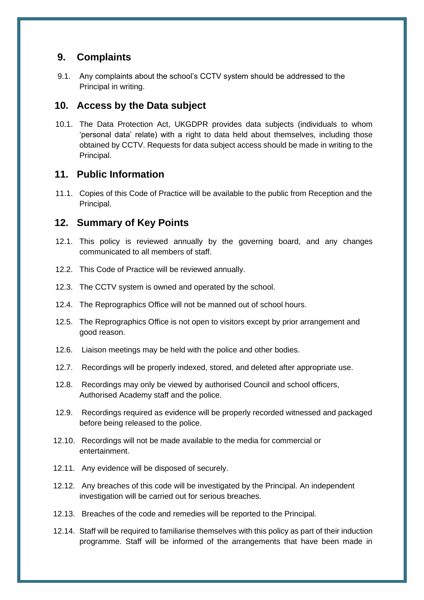## **9. Complaints**

9.1. Any complaints about the school's CCTV system should be addressed to the Principal in writing.

#### <span id="page-7-0"></span>**10. Access by the Data subject**

10.1. The Data Protection Act, UKGDPR provides data subjects (individuals to whom 'personal data' relate) with a right to data held about themselves, including those obtained by CCTV. Requests for data subject access should be made in writing to the Principal.

#### **11. Public Information**

11.1. Copies of this Code of Practice will be available to the public from Reception and the Principal.

#### <span id="page-7-1"></span>**12. Summary of Key Points**

- 12.1. This policy is reviewed annually by the governing board, and any changes communicated to all members of staff.
- 12.2. This Code of Practice will be reviewed annually.
- 12.3. The CCTV system is owned and operated by the school.
- 12.4. The Reprographics Office will not be manned out of school hours.
- 12.5. The Reprographics Office is not open to visitors except by prior arrangement and good reason.
- 12.6. Liaison meetings may be held with the police and other bodies.
- 12.7. Recordings will be properly indexed, stored, and deleted after appropriate use.
- 12.8. Recordings may only be viewed by authorised Council and school officers, Authorised Academy staff and the police.
- 12.9. Recordings required as evidence will be properly recorded witnessed and packaged before being released to the police.
- 12.10. Recordings will not be made available to the media for commercial or entertainment.
- 12.11. Any evidence will be disposed of securely.
- 12.12. Any breaches of this code will be investigated by the Principal. An independent investigation will be carried out for serious breaches.
- 12.13. Breaches of the code and remedies will be reported to the Principal.
- 12.14. Staff will be required to familiarise themselves with this policy as part of their induction programme. Staff will be informed of the arrangements that have been made in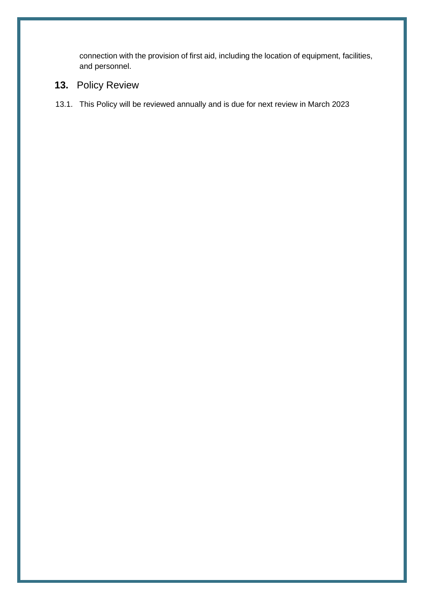connection with the provision of first aid, including the location of equipment, facilities, and personnel.

# **13.** Policy Review

13.1. This Policy will be reviewed annually and is due for next review in March 2023